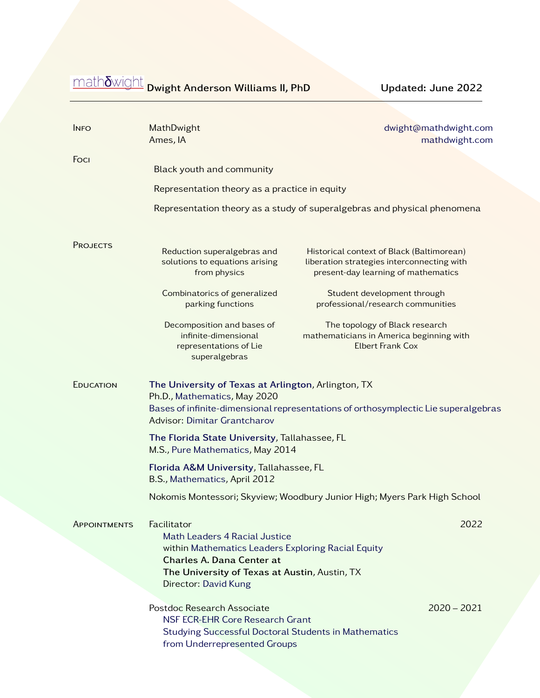mathδwight Dwight Anderson Williams II, PhD Updated: June 2022

| <b>INFO</b>                                                                                                                                                                                                                   | <b>MathDwight</b><br>Ames, IA                                                                                                                                                                            | dwight@mathdwight.com<br>mathdwight.com                                                                                        |
|-------------------------------------------------------------------------------------------------------------------------------------------------------------------------------------------------------------------------------|----------------------------------------------------------------------------------------------------------------------------------------------------------------------------------------------------------|--------------------------------------------------------------------------------------------------------------------------------|
| Foci                                                                                                                                                                                                                          | Black youth and community                                                                                                                                                                                |                                                                                                                                |
|                                                                                                                                                                                                                               | Representation theory as a practice in equity                                                                                                                                                            |                                                                                                                                |
|                                                                                                                                                                                                                               |                                                                                                                                                                                                          | Representation theory as a study of superalgebras and physical phenomena                                                       |
| <b>PROJECTS</b>                                                                                                                                                                                                               | Reduction superalgebras and<br>solutions to equations arising<br>from physics                                                                                                                            | Historical context of Black (Baltimorean)<br>liberation strategies interconnecting with<br>present-day learning of mathematics |
|                                                                                                                                                                                                                               | Combinatorics of generalized<br>parking functions                                                                                                                                                        | Student development through<br>professional/research communities                                                               |
|                                                                                                                                                                                                                               | Decomposition and bases of<br>infinite-dimensional<br>representations of Lie<br>superalgebras                                                                                                            | The topology of Black research<br>mathematicians in America beginning with<br><b>Elbert Frank Cox</b>                          |
| <b>EDUCATION</b><br>The University of Texas at Arlington, Arlington, TX<br>Ph.D., Mathematics, May 2020<br>Bases of infinite-dimensional representations of orthosymplectic Lie superalgebras<br>Advisor: Dimitar Grantcharov |                                                                                                                                                                                                          |                                                                                                                                |
|                                                                                                                                                                                                                               | The Florida State University, Tallahassee, FL<br>M.S., Pure Mathematics, May 2014                                                                                                                        |                                                                                                                                |
|                                                                                                                                                                                                                               | Florida A&M University, Tallahassee, FL<br>B.S., Mathematics, April 2012                                                                                                                                 |                                                                                                                                |
|                                                                                                                                                                                                                               |                                                                                                                                                                                                          | Nokomis Montessori; Skyview; Woodbury Junior High; Myers Park High School                                                      |
| <b>APPOINTMENTS</b>                                                                                                                                                                                                           | Facilitator<br>Math Leaders 4 Racial Justice<br>within Mathematics Leaders Exploring Racial Equity<br>Charles A. Dana Center at<br>The University of Texas at Austin, Austin, TX<br>Director: David Kung |                                                                                                                                |
|                                                                                                                                                                                                                               | Postdoc Research Associate<br><b>NSF ECR-EHR Core Research Grant</b><br><b>Studying Successful Doctoral Students in Mathematics</b><br>from Underrepresented Groups                                      | $2020 - 2021$                                                                                                                  |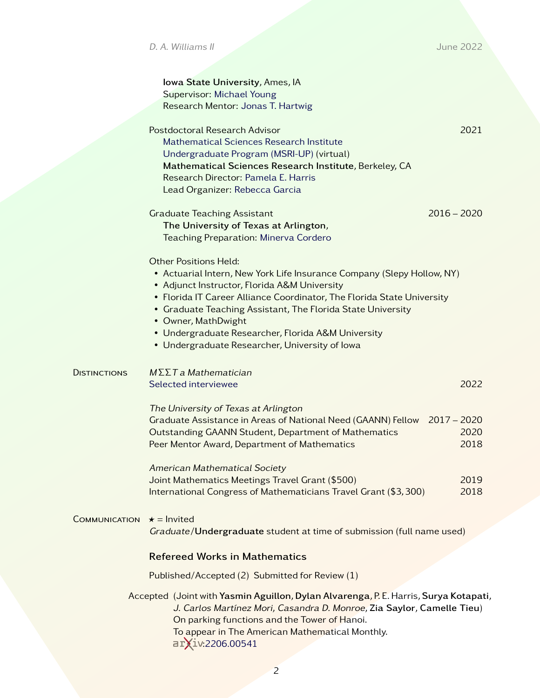|                     | Iowa State University, Ames, IA<br>Supervisor: Michael Young<br>Research Mentor: Jonas T. Hartwig                                                                                                                                                                                                                                                                                                                              |                                               |
|---------------------|--------------------------------------------------------------------------------------------------------------------------------------------------------------------------------------------------------------------------------------------------------------------------------------------------------------------------------------------------------------------------------------------------------------------------------|-----------------------------------------------|
|                     | Postdoctoral Research Advisor<br>Mathematical Sciences Research Institute<br>Undergraduate Program (MSRI-UP) (virtual)<br>Mathematical Sciences Research Institute, Berkeley, CA<br>Research Director: Pamela E. Harris<br>Lead Organizer: Rebecca Garcia                                                                                                                                                                      | 2021                                          |
|                     | <b>Graduate Teaching Assistant</b><br>The University of Texas at Arlington,<br>Teaching Preparation: Minerva Cordero                                                                                                                                                                                                                                                                                                           | $2016 - 2020$                                 |
|                     | <b>Other Positions Held:</b><br>• Actuarial Intern, New York Life Insurance Company (Slepy Hollow, NY)<br>• Adjunct Instructor, Florida A&M University<br>• Florida IT Career Alliance Coordinator, The Florida State University<br>• Graduate Teaching Assistant, The Florida State University<br>• Owner, MathDwight<br>• Undergraduate Researcher, Florida A&M University<br>• Undergraduate Researcher, University of lowa |                                               |
| <b>DISTINCTIONS</b> | $M\Sigma\Sigma T$ a Mathematician<br>Selected interviewee                                                                                                                                                                                                                                                                                                                                                                      | 2022                                          |
|                     | The University of Texas at Arlington<br>Graduate Assistance in Areas of National Need (GAANN) Fellow<br>Outstanding GAANN Student, Department of Mathematics<br>Peer Mentor Award, Department of Mathematics<br><b>American Mathematical Society</b><br>Joint Mathematics Meetings Travel Grant (\$500)<br>International Congress of Mathematicians Travel Grant (\$3,300)                                                     | $2017 - 2020$<br>2020<br>2018<br>2019<br>2018 |
| COMMUNICATION       | $\star$ = Invited<br>Graduate/Undergraduate student at time of submission (full name used)                                                                                                                                                                                                                                                                                                                                     |                                               |
|                     | <b>Refereed Works in Mathematics</b>                                                                                                                                                                                                                                                                                                                                                                                           |                                               |
|                     | Published/Accepted (2) Submitted for Review (1)                                                                                                                                                                                                                                                                                                                                                                                |                                               |
|                     | Accepted (Joint with Yasmin Aguillon, Dylan Alvarenga, P. E. Harris, Surya Kotapati,<br>J. Carlos Martínez Mori, Casandra D. Monroe, Zia Saylor, Camelle Tieu)<br>On parking functions and the Tower of Hanoi.<br>To appear in The American Mathematical Monthly.<br>arXiv:2206.00541                                                                                                                                          |                                               |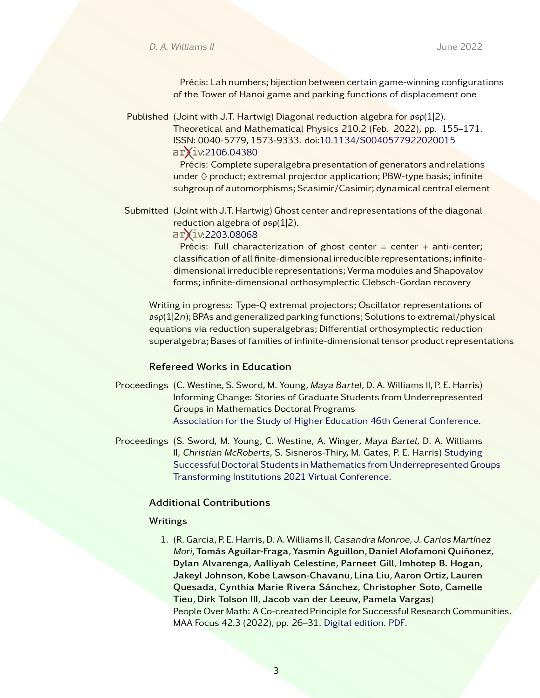Précis: Lah numbers; bijection between certain game-winning configurations of the Tower of Hanoi game and parking functions of displacement one

Published (Joint with J.T. Hartwig) Diagonal reduction algebra for  $\mathfrak{osp}(1|2)$ . Theoretical and Mathematical Physics 210.2 (Feb. 2022), pp. 155–171. ISSN: 0040-5779, 1573-9333. doi[:10.1134/S0040577922020015](https://dx.doi.org/10.1134/S0040577922020015) arxiv[:2106.04380](https://arxiv.org/abs/2106.04380)

> Précis: Complete superalgebra presentation of generators and relations under  $\Diamond$  product; extremal projector application; PBW-type basis; infinite subgroup of automorphisms; Scasimir/Casimir; dynamical central element

Submitted (Joint with J.T. Hartwig) Ghost center and representations of the diagonal reduction algebra of  $\mathfrak{osp}(1|2)$ .

arxiv[:2203.08068](https://arxiv.org/abs/2203.08068)

Précis: Full characterization of ghost center = center + anti-center; classification of all finite-dimensional irreducible representations; infinitedimensional irreducible representations; Verma modules and Shapovalov forms; infinite-dimensional orthosymplectic Clebsch-Gordan recovery

Writing in progress: Type-Q extremal projectors; Oscillator representations of  $\mathfrak{osp}(1|2n)$ ; BPAs and generalized parking functions; Solutions to extremal/physical equations via reduction superalgebras; Differential orthosymplectic reduction superalgebra; Bases of families of infinite-dimensional tensor product representations

### Refereed Works in Education

- Proceedings (C. Westine, S. Sword, M. Young, Maya Bartel, D. A. Williams II, P. E. Harris) Informing Change: Stories of Graduate Students from Underrepresented Groups in Mathematics Doctoral Programs [Association for the Study of Higher Education 46th General Conference.](https://www.ashe.ws//Files/Past%20Conferences/ASHE%202021%20Program%20Book.pdf)
- Proceedings (S. Sword, M. Young, C. Westine, A. Winger, Maya Bartel, D. A. Williams II, Christian McRoberts, S. Sisneros-Thiry, M. Gates, P. E. Harris) [Studying](https://d32ogoqmya1dw8.cloudfront.net/files/ASCN/transforming_institutions/2021/program/posters/session_c/2/poster_studying_successful_doctoral_students_mathematics_from_underrepresen.pdf) [Successful Doctoral Students in Mathematics from Underrepresented Groups](https://d32ogoqmya1dw8.cloudfront.net/files/ASCN/transforming_institutions/2021/program/posters/session_c/2/poster_studying_successful_doctoral_students_mathematics_from_underrepresen.pdf) [Transforming Institutions 2021 Virtual Conference.](https://ascnhighered.org/ASCN/transforming_institutions/2021/program/posters/session_c/2/243631.html)

#### Additional Contributions

#### Writings

1. (R. Garcia, P. E. Harris, D. A. Williams II, Casandra Monroe, J. Carlos Martínez Mori, Tomás Aguilar-Fraga, Yasmin Aguillon, Daniel Alofamoni Quiñonez, Dylan Alvarenga, Aalliyah Celestine, Parneet Gill, Imhotep B. Hogan, Jakeyl Johnson, Kobe Lawson-Chavanu, Lina Liu, Aaron Ortiz, Lauren Quesada, Cynthia Marie Rivera Sánchez, Christopher Soto, Camelle Tieu, Dirk Tolson III, Jacob van der Leeuw, Pamela Vargas) People Over Math: A Co-created Principle for Successful Research Communities. MAA Focus 42.3 (2022), pp. 26–31. [Digital edition.](http://digitaleditions.walsworthprintgroup.com/publication/?m=7656&i=749450&p=26&fbclid=IwAR19q6M4ZQ1I8uncyU-iuGHsHfz-6JHFiZFHrg9thmyGqXAESJYRlaHXijc&ver=html5) [PDF.](https://mathdwight.com/files/PeopleOverMath_MAAFocus.PDF)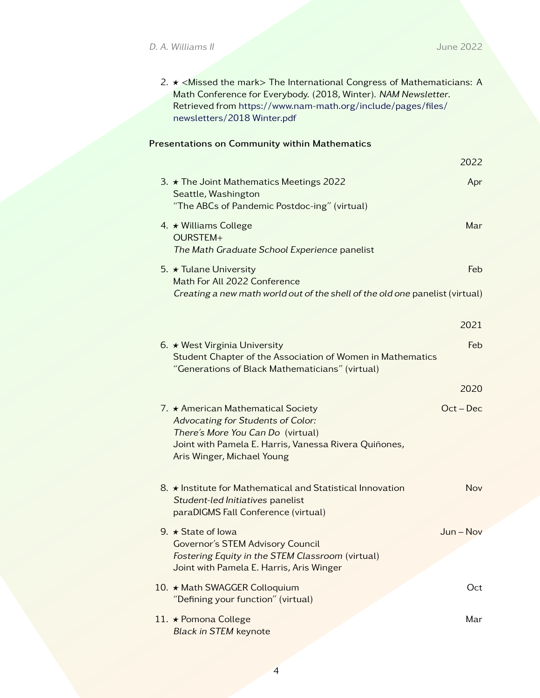| 2. $\star$ <missed mark="" the=""> The International Congress of Mathematicians: A</missed> |
|---------------------------------------------------------------------------------------------|
| Math Conference for Everybody. (2018, Winter). NAM Newsletter.                              |
| Retrieved from https://www.nam-math.org/include/pages/files/                                |
| newsletters/2018 Winter.pdf                                                                 |

# Presentations on Community within Mathematics

|                                                                                                                                                                                                     | 2022        |
|-----------------------------------------------------------------------------------------------------------------------------------------------------------------------------------------------------|-------------|
| 3. $\star$ The Joint Mathematics Meetings 2022<br>Seattle, Washington                                                                                                                               | Apr         |
| "The ABCs of Pandemic Postdoc-ing" (virtual)                                                                                                                                                        |             |
| 4. $\star$ Williams College<br>OURSTEM+<br>The Math Graduate School Experience panelist                                                                                                             | Mar         |
| 5. $\star$ Tulane University<br>Math For All 2022 Conference                                                                                                                                        | <b>Feb</b>  |
| Creating a new math world out of the shell of the old one panelist (virtual)                                                                                                                        |             |
|                                                                                                                                                                                                     |             |
|                                                                                                                                                                                                     | 2021        |
| 6. $\star$ West Virginia University                                                                                                                                                                 | Feb.        |
| Student Chapter of the Association of Women in Mathematics<br>"Generations of Black Mathematicians" (virtual)                                                                                       |             |
|                                                                                                                                                                                                     | 2020        |
| 7. ★ American Mathematical Society<br>Advocating for Students of Color:<br>There's More You Can Do (virtual)<br>Joint with Pamela E. Harris, Vanessa Rivera Quiñones,<br>Aris Winger, Michael Young | $Oct - Dec$ |
| 8. ★ Institute for Mathematical and Statistical Innovation<br>Student-led Initiatives panelist<br>paraDIGMS Fall Conference (virtual)                                                               | Nov         |
| 9. $\star$ State of lowa<br><b>Governor's STEM Advisory Council</b><br>Fostering Equity in the STEM Classroom (virtual)<br>Joint with Pamela E. Harris, Aris Winger                                 | $Jun - Nov$ |
| 10. ★ Math SWAGGER Colloquium<br>"Defining your function" (virtual)                                                                                                                                 | Oct         |
| 11. ★ Pomona College<br><b>Black in STEM keynote</b>                                                                                                                                                | Mar         |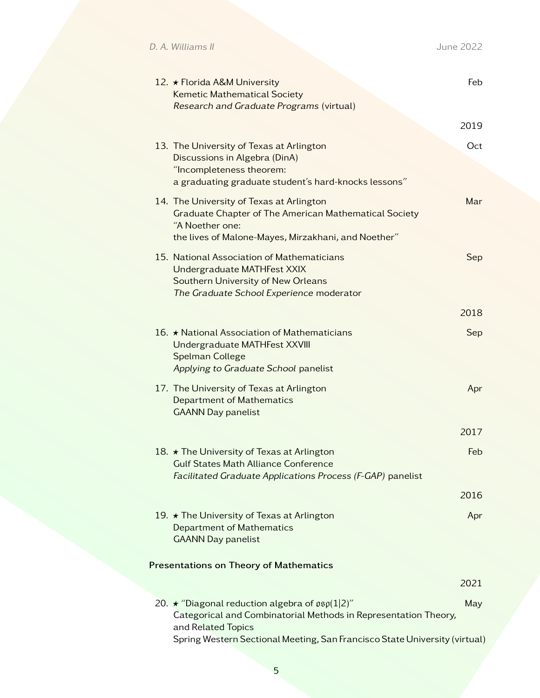D. A. Williams II June 2022

| 12. ★ Florida A&M University<br>Kemetic Mathematical Society<br>Research and Graduate Programs (virtual)                                                                                                                                  | Feb  |
|-------------------------------------------------------------------------------------------------------------------------------------------------------------------------------------------------------------------------------------------|------|
|                                                                                                                                                                                                                                           | 2019 |
| 13. The University of Texas at Arlington<br>Discussions in Algebra (DinA)<br>"Incompleteness theorem:<br>a graduating graduate student's hard-knocks lessons"                                                                             | Oct  |
| 14. The University of Texas at Arlington<br>Graduate Chapter of The American Mathematical Society<br>"A Noether one:<br>the lives of Malone-Mayes, Mirzakhani, and Noether"                                                               | Mar  |
| 15. National Association of Mathematicians<br>Undergraduate MATHFest XXIX<br>Southern University of New Orleans<br>The Graduate School Experience moderator                                                                               | Sep  |
|                                                                                                                                                                                                                                           | 2018 |
| 16. $\star$ National Association of Mathematicians<br>Undergraduate MATHFest XXVIII<br>Spelman College<br>Applying to Graduate School panelist                                                                                            | Sep  |
| 17. The University of Texas at Arlington<br>Department of Mathematics<br><b>GAANN Day panelist</b>                                                                                                                                        | Apr  |
|                                                                                                                                                                                                                                           | 2017 |
| 18. ★ The University of Texas at Arlington<br><b>Gulf States Math Alliance Conference</b><br>Facilitated Graduate Applications Process (F-GAP) panelist                                                                                   | Feb  |
|                                                                                                                                                                                                                                           | 2016 |
| 19. ★ The University of Texas at Arlington<br>Department of Mathematics<br><b>GAANN Day panelist</b>                                                                                                                                      | Apr  |
| <b>Presentations on Theory of Mathematics</b>                                                                                                                                                                                             |      |
|                                                                                                                                                                                                                                           | 2021 |
| 20. $\star$ "Diagonal reduction algebra of $\mathfrak{osp}(1 2)$ "<br>Categorical and Combinatorial Methods in Representation Theory,<br>and Related Topics<br>Spring Western Sectional Meeting, San Francisco State University (virtual) | May  |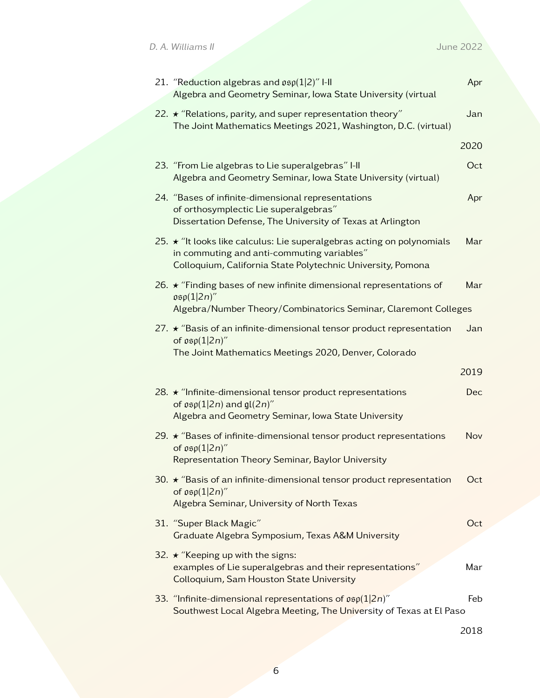| 21. "Reduction algebras and $\mathfrak{osp}(1 2)$ " I-II<br>Algebra and Geometry Seminar, Iowa State University (virtual                                                                  | Apr        |
|-------------------------------------------------------------------------------------------------------------------------------------------------------------------------------------------|------------|
| 22. $\star$ "Relations, parity, and super representation theory"<br>The Joint Mathematics Meetings 2021, Washington, D.C. (virtual)                                                       | Jan        |
|                                                                                                                                                                                           | 2020       |
| 23. "From Lie algebras to Lie superalgebras" I-II<br>Algebra and Geometry Seminar, Iowa State University (virtual)                                                                        | Oct        |
| 24. "Bases of infinite-dimensional representations<br>of orthosymplectic Lie superalgebras"<br>Dissertation Defense, The University of Texas at Arlington                                 | Apr        |
| 25. $\star$ "It looks like calculus: Lie superalgebras acting on polynomials<br>in commuting and anti-commuting variables"<br>Colloquium, California State Polytechnic University, Pomona | Mar        |
| 26. $\star$ "Finding bases of new infinite dimensional representations of<br>$\mathfrak{osp}(1 2n)''$<br>Algebra/Number Theory/Combinatorics Seminar, Claremont Colleges                  | Mar        |
| 27. $\star$ "Basis of an infinite-dimensional tensor product representation<br>of $\mathfrak{osp}(1 2n)$ "<br>The Joint Mathematics Meetings 2020, Denver, Colorado                       | Jan        |
|                                                                                                                                                                                           | 2019       |
| 28. $\star$ "Infinite-dimensional tensor product representations<br>of $\mathfrak{osp}(1 2n)$ and $\mathfrak{gl}(2n)'$<br>Algebra and Geometry Seminar, Iowa State University             | <b>Dec</b> |
| 29. $\star$ "Bases of infinite-dimensional tensor product representations<br>of $\mathfrak{osp}(1 2n)$ "<br>Representation Theory Seminar, Baylor University                              | Nov        |
| 30. $\star$ "Basis of an infinite-dimensional tensor product representation<br>of $\mathfrak{osp}(1 2n)$ "<br>Algebra Seminar, University of North Texas                                  | Oct        |
| 31. "Super Black Magic"<br>Graduate Algebra Symposium, Texas A&M University                                                                                                               | Oct        |
| 32. ★ "Keeping up with the signs:<br>examples of Lie superalgebras and their representations"<br>Colloquium, Sam Houston State University                                                 | Mar        |
| 33. "Infinite-dimensional representations of $\mathfrak{osp}(1 2n)$ "<br>Southwest Local Algebra Meeting, The University of Texas at El Paso                                              | Feb        |
|                                                                                                                                                                                           | 2018       |

6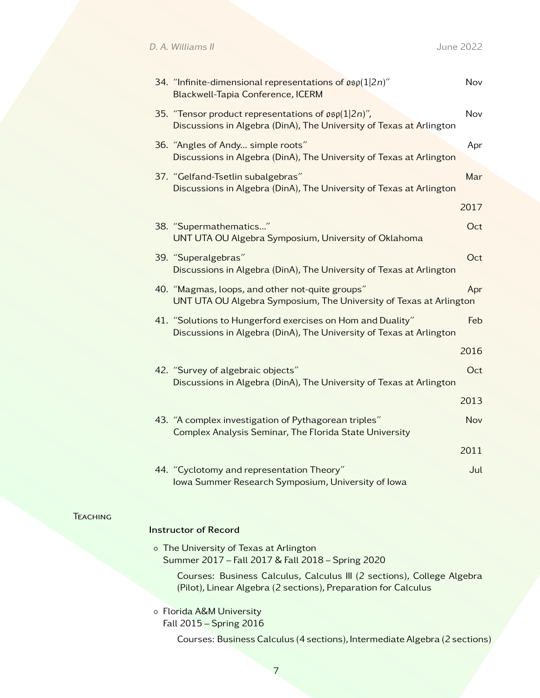D. A. Williams II and the contract of the contract of the contract of the contract of the contract of the contract of the contract of the contract of the contract of the contract of the contract of the contract of the cont

|  | 34. "Infinite-dimensional representations of $\mathfrak{osp}(1 2n)$ "<br>Blackwell-Tapia Conference, ICERM                              | Nov  |
|--|-----------------------------------------------------------------------------------------------------------------------------------------|------|
|  | 35. "Tensor product representations of $\mathfrak{osp}(1 2n)$ ",<br>Discussions in Algebra (DinA), The University of Texas at Arlington | Nov  |
|  | 36. "Angles of Andy simple roots"<br>Discussions in Algebra (DinA), The University of Texas at Arlington                                | Apr  |
|  | 37. "Gelfand-Tsetlin subalgebras"<br>Discussions in Algebra (DinA), The University of Texas at Arlington                                | Mar  |
|  |                                                                                                                                         | 2017 |
|  | 38. "Supermathematics"<br>UNT UTA OU Algebra Symposium, University of Oklahoma                                                          | Oct  |
|  | 39. "Superalgebras"<br>Discussions in Algebra (DinA), The University of Texas at Arlington                                              | Oct  |
|  | 40. "Magmas, loops, and other not-quite groups"<br>UNT UTA OU Algebra Symposium, The University of Texas at Arlington                   | Apr  |
|  | 41. "Solutions to Hungerford exercises on Hom and Duality"<br>Discussions in Algebra (DinA), The University of Texas at Arlington       | Feb  |
|  |                                                                                                                                         | 2016 |
|  | 42. "Survey of algebraic objects"<br>Discussions in Algebra (DinA), The University of Texas at Arlington                                | Oct  |
|  |                                                                                                                                         | 2013 |
|  | 43. "A complex investigation of Pythagorean triples"<br>Complex Analysis Seminar, The Florida State University                          | Nov  |
|  |                                                                                                                                         | 2011 |
|  | 44. "Cyclotomy and representation Theory"<br>Iowa Summer Research Symposium, University of Iowa                                         | Jul  |
|  |                                                                                                                                         |      |

### **TEACHING**

### Instructor of Record

◦ The University of Texas at Arlington Summer 2017 – Fall 2017 & Fall 2018 – Spring 2020

Courses: Business Calculus, Calculus III (2 sections), College Algebra (Pilot), Linear Algebra (2 sections), Preparation for Calculus

◦ Florida A&M University Fall 2015 – Spring 2016

Courses: Business Calculus (4 sections), Intermediate Algebra (2 sections)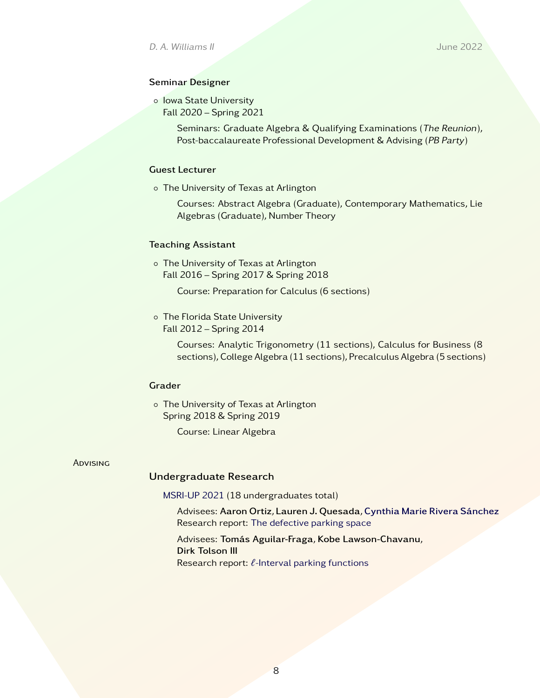## Seminar Designer

◦ Iowa State University Fall 2020 – Spring 2021

> Seminars: Graduate Algebra & Qualifying Examinations (The Reunion), Post-baccalaureate Professional Development & Advising (PB Party)

### Guest Lecturer

◦ The University of Texas at Arlington

Courses: Abstract Algebra (Graduate), Contemporary Mathematics, Lie Algebras (Graduate), Number Theory

### Teaching Assistant

◦ The University of Texas at Arlington Fall 2016 – Spring 2017 & Spring 2018

Course: Preparation for Calculus (6 sections)

◦ The Florida State University Fall 2012 – Spring 2014

> Courses: Analytic Trigonometry (11 sections), Calculus for Business (8 sections), College Algebra (11 sections), Precalculus Algebra (5 sections)

# Grader

◦ The University of Texas at Arlington Spring 2018 & Spring 2019

Course: Linear Algebra

#### **ADVISING**

### Undergraduate Research

[MSRI-UP 2021](https://MSRIUP.com) (18 undergraduates total)

Advisees: Aaron Ortiz, Lauren J. Quesada, [Cynthia Marie Rivera Sánchez](https://sites.google.com/view/cynthiamarieriverasnchez/home) Research report: [The defective parking space](https://sites.google.com/view/msriup2021/people-over-math/students?authuser=0#h.n8qo7etpg6ta)

Advisees: Tomás Aguilar-Fraga, Kobe Lawson-Chavanu, Dirk Tolson III Research report:  $\ell$ [-Interval parking functions](https://www.msriup.com/people-over-math/students#h.nq94rnal0uqa)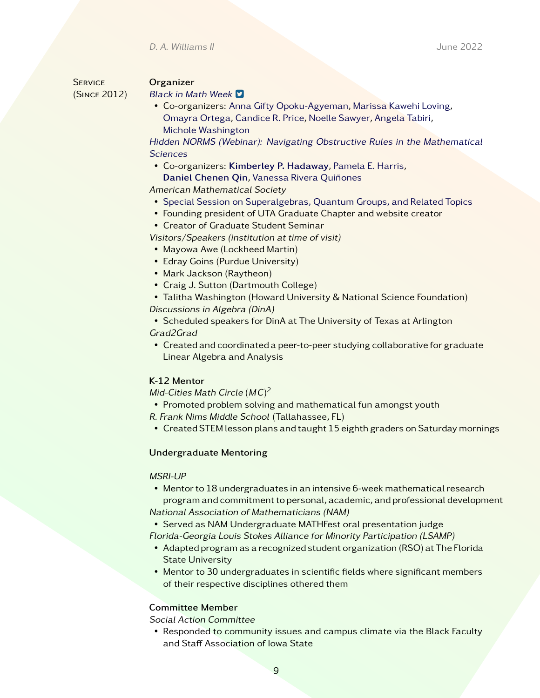D. A. Williams II June 2022

**SERVICE** (Since 2012)

#### **Organizer**

#### [Black in Math Week](https://twitter.com/blackinmath)  $\Box$

• Co-organizers: [Anna Gifty Opoku-Agyeman,](https://www.annagifty.com/) [Marissa Kawehi Loving,](https://sites.google.com/view/lovingmath/home) [Omayra Ortega,](https://omayraortega.wixsite.com/math) [Candice R. Price,](http://www.candicerprice.com/) [Noelle Sawyer,](https://www.noellesawyer.com/) [Angela Tabiri,](https://www.aims.edu.gh/angela-tabiri/) [Michole Washington](https://www.stemulationescaperoom.org/stemulation#meet-the-team)

[Hidden NORMS \(Webinar\): Navigating Obstructive Rules in the Mathematical](https://www.hiddenNORMS.com) **[Sciences](https://www.hiddenNORMS.com)** 

• Co-organizers: [Kimberley P. Hadaway](https://sites.google.com/view/kimberlyphadaway/), [Pamela E. Harris,](https://www.pamelaeharris.com/)

[Daniel Chenen Qin](https://sites.google.com/view/daniel-chenen-qin), [Vanessa Rivera Quiñones](https://www.vriveraqphd.com/)

American Mathematical Society

- [Special Session on Superalgebras, Quantum Groups, and Related Topics](https://www.ams.org/meetings/sectional/2287_program_ss13.html)
- Founding president of UTA Graduate Chapter and website creator
- Creator of Graduate Student Seminar

Visitors/Speakers (institution at time of visit)

- Mayowa Awe (Lockheed Martin)
- Edray Goins (Purdue University)
- Mark Jackson (Raytheon)
- Craig J. Sutton (Dartmouth College)
- Talitha Washington (Howard University & National Science Foundation) Discussions in Algebra (DinA)

• Scheduled speakers for DinA at The University of Texas at Arlington Grad2Grad

• Created and coordinated a peer-to-peer studying collaborative for graduate Linear Algebra and Analysis

## K-12 Mentor

Mid-Cities Math Circle  $(MC)^2$ 

• Promoted problem solving and mathematical fun amongst youth

- R. Frank Nims Middle School (Tallahassee, FL)
- Created STEM lesson plans and taught 15 eighth graders on Saturday mornings

### Undergraduate Mentoring

### MSRI-UP

• Mentor to 18 undergraduates in an intensive 6-week mathematical research program and commitment to personal, academic, and professional development National Association of Mathematicians (NAM)

• Served as NAM Undergraduate MATHFest oral presentation judge Florida-Georgia Louis Stokes Alliance for Minority Participation (LSAMP)

- Adapted program as a recognized student organization (RSO) at The Florida State University
- Mentor to 30 undergraduates in scientific fields where significant members of their respective disciplines othered them

### Committee Member

Social Action Committee

• Responded to community issues and campus climate via the Black Faculty and Staff Association of Iowa State